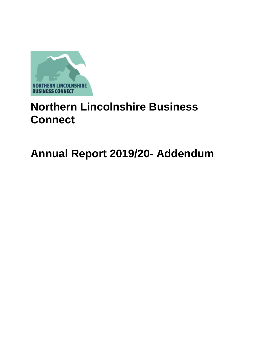

# **Northern Lincolnshire Business Connect**

# **Annual Report 2019/20- Addendum**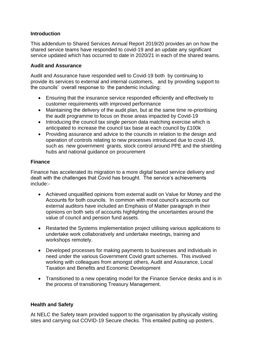#### **Introduction**

This addendum to Shared Services Annual Report 2019/20 provides an on how the shared service teams have responded to covid-19 and an update any significant service updated which has occurred to date in 2020/21 in each of the shared teams.

#### **Audit and Assurance**

Audit and Assurance have responded well to Covid-19 both by continuing to provide its services to external and internal customers, and by providing support to the councils' overall response to the pandemic including:

- Ensuring that the insurance service responded efficiently and effectively to customer requirements with improved performance
- Maintaining the delivery of the audit plan, but at the same time re-prioritising the audit programme to focus on those areas impacted by Covid-19
- Introducing the council tax single person data matching exercise which is anticipated to increase the council tax base at each council by £100k
- Providing assurance and advice to the councils in relation to the design and operation of controls relating to new processes introduced due to covid-19, such as new government grants, stock control around PPE and the shielding hubs and national guidance on procurement

## **Finance**

Finance has accelerated its migration to a more digital based service delivery and dealt with the challenges that Covid has brought. The service's achievements include:-

- Achieved unqualified opinions from external audit on Value for Money and the Accounts for both councils. In common with most council's accounts our external auditors have included an Emphasis of Matter paragraph in their opinions on both sets of accounts highlighting the uncertainties around the value of council and pension fund assets.
- Restarted the Systems implementation project utilising various applications to undertake work collaboratively and undertake meetings, training and workshops remotely.
- Developed processes for making payments to businesses and individuals in need under the various Government Covid grant schemes. This involved working with colleagues from amongst others, Audit and Assurance, Local Taxation and Benefits and Economic Development
- Transitioned to a new operating model for the Finance Service desks and is in the process of transitioning Treasury Management.

#### **Health and Safety**

At NELC the Safety team provided support to the organisation by physically visiting sites and carrying out COVID-19 Secure checks. This entailed putting up posters,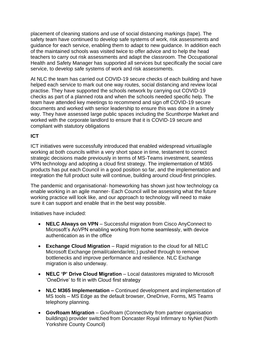placement of cleaning stations and use of social distancing markings (tape). The safety team have continued to develop safe systems of work, risk assessments and guidance for each service, enabling them to adapt to new guidance. In addition each of the maintained schools was visited twice to offer advice and to help the head teachers to carry out risk assessments and adapt the classroom. The Occupational Health and Safety Manager has supported all services but specifically the social care service, to develop safe systems of work and risk assessments.

At NLC the team has carried out COVID-19 secure checks of each building and have helped each service to mark out one way routes, social distancing and review local practise. They have supported the schools network by carrying out COVID-19 checks as part of a planned rota and when the schools needed specific help. The team have attended key meetings to recommend and sign off COVID-19 secure documents and worked with senior leadership to ensure this was done in a timely way. They have assessed large public spaces including the Scunthorpe Market and worked with the corporate landlord to ensure that it is COVID-19 secure and compliant with statutory obligations

# **ICT**

ICT initiatives were successfully introduced that enabled widespread virtual/agile working at both councils within a very short space in time, testament to correct strategic decisions made previously in terms of MS-Teams investment, seamless VPN technology and adopting a cloud first strategy. The implementation of M365 products has put each Council in a good position so far, and the implementation and integration the full product suite will continue, building around cloud-first principles.

The pandemic and organisational- homeworking has shown just how technology ca enable working in an agile manner- Each Council will be assessing what the future working practice will look like, and our approach to technology will need to make sure it can support and enable that in the best way possible.

Initiatives have included:

- **NELC Always on VPN** Successful migration from Cisco AnyConnect to Microsoft's AoVPN enabling working from home seamlessly, with device authentication as in the office
- **Exchange Cloud Migration** Rapid migration to the cloud for all NELC Microsoft Exchange (email/calendar/etc.) pushed through to remove bottlenecks and improve performance and resilience. NLC Exchange migration is also underway.
- **NELC 'P' Drive Cloud Migration** Local datastores migrated to Microsoft 'OneDrive' to fit in with Cloud first strategy
- **NLC M365 Implementation –** Continued development and implementation of MS tools – MS Edge as the default browser, OneDrive, Forms, MS Teams telephony planning.
- **GovRoam Migration** GovRoam (Connectivity from partner organisation buildings) provider switched from Doncaster Royal Infirmary to NyNet (North Yorkshire County Council)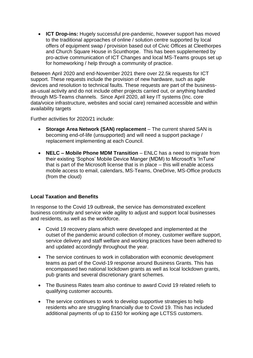• **ICT Drop-ins:** Hugely successful pre-pandemic, however support has moved to the traditional approaches of online / solution centre supported by local offers of equipment swap / provision based out of Civic Offices at Cleethorpes and Church Square House in Scunthorpe. This has been supplemented by pro-active communication of ICT Changes and local MS-Teams groups set up for homeworking / help through a community of practice.

Between April 2020 and end-November 2021 there over 22.5k requests for ICT support. These requests include the provision of new hardware, such as agile devices and resolution to technical faults. These requests are part of the businessas-usual activity and do not include other projects carried out, or anything handled through MS-Teams channels. Since April 2020, all key IT systems (Inc. core data/voice infrastructure, websites and social care) remained accessible and within availability targets

Further activities for 2020/21 include:

- **Storage Area Network (SAN) replacement** The current shared SAN is becoming end-of-life (unsupported) and will need a support package / replacement implementing at each Council.
- **NELC – Mobile Phone MDM Transition** ENLC has a need to migrate from their existing 'Sophos' Mobile Device Manger (MDM) to Microsoft's 'InTune' that is part of the Microsoft license that is in place – this will enable access mobile access to email, calendars, MS-Teams, OneDrive, MS-Office products (from the cloud)

## **Local Taxation and Benefits**

In response to the Covid 19 outbreak, the service has demonstrated excellent business continuity and service wide agility to adjust and support local businesses and residents, as well as the workforce.

- Covid 19 recovery plans which were developed and implemented at the outset of the pandemic around collection of money, customer welfare support, service delivery and staff welfare and working practices have been adhered to and updated accordingly throughout the year.
- The service continues to work in collaboration with economic development teams as part of the Covid-19 response around Business Grants. This has encompassed two national lockdown grants as well as local lockdown grants, pub grants and several discretionary grant schemes.
- The Business Rates team also continue to award Covid 19 related reliefs to qualifying customer accounts.
- The service continues to work to develop supportive strategies to help residents who are struggling financially due to Covid 19. This has included additional payments of up to £150 for working age LCTSS customers.